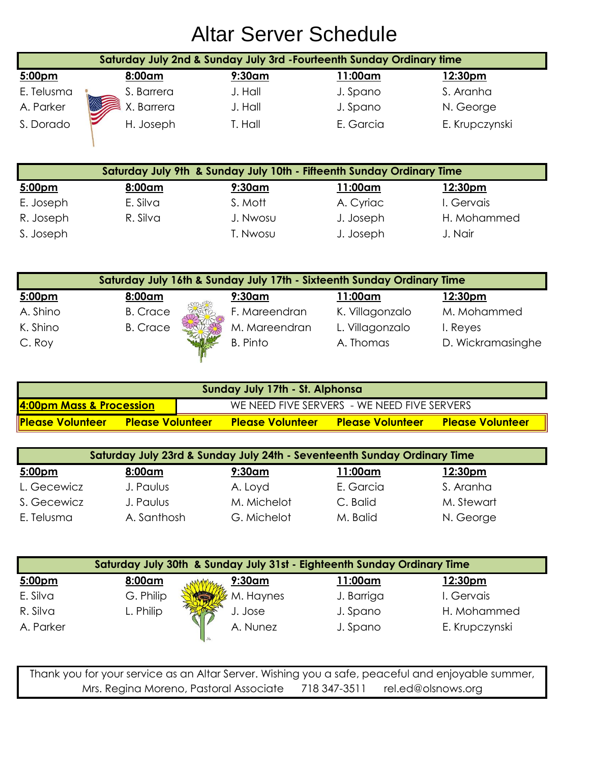|                                                                       |            |           | Saturday July 2nd & Sunday July 3rd - Fourteenth Sunday Ordinary time |                |
|-----------------------------------------------------------------------|------------|-----------|-----------------------------------------------------------------------|----------------|
| 5:00pm                                                                | 8:00am     | $9:30$ am | 11:00am                                                               | 12:30pm        |
| E. Telusma                                                            | S. Barrera | J. Hall   | J. Spano                                                              | S. Aranha      |
| A. Parker                                                             | X. Barrera | J. Hall   | J. Spano                                                              | N. George      |
| S. Dorado                                                             | H. Joseph  | T. Hall   | E. Garcia                                                             | E. Krupczynski |
| Saturday July 9th & Sunday July 10th - Fifteenth Sunday Ordinary Time |            |           |                                                                       |                |
| 5:00pm                                                                | 8:00am     | $9:30$ am | l 1:00am                                                              | 12:30pm        |

| 5:00 <sub>pm</sub> | 8:00am   | $9:30$ am | 11:00am   | 12:30pm     |
|--------------------|----------|-----------|-----------|-------------|
| E. Joseph          | E. Silva | S. Mott   | A. Cyriac | I. Gervais  |
| R. Joseph          | R. Silva | J. Nwosu  | J. Joseph | H. Mohammed |
| S. Joseph          |          | T. Nwosu  | J. Joseph | J. Nair     |

|          |                 | Saturday July 16th & Sunday July 17th - Sixteenth Sunday Ordinary Time |                 |                   |
|----------|-----------------|------------------------------------------------------------------------|-----------------|-------------------|
| 5:00pm   | 8:00am          | $9:30$ am                                                              | 11:00am         | 12:30pm           |
| A. Shino | <b>B.</b> Crace | F. Mareendran                                                          | K. Villagonzalo | M. Mohammed       |
| K. Shino | <b>B.</b> Crace | M. Mareendran                                                          | L. Villagonzalo | I. Reyes          |
| C. Roy   |                 | <b>B.</b> Pinto                                                        | A. Thomas       | D. Wickramasinghe |

| Sunday July 17th - St. Alphonsa                                         |                         |                         |                         |  |
|-------------------------------------------------------------------------|-------------------------|-------------------------|-------------------------|--|
| 4:00pm Mass & Procession<br>WE NEED FIVE SERVERS - WE NEED FIVE SERVERS |                         |                         |                         |  |
| Please Volunteer<br><b>Please Volunteer</b>                             | <b>Please Volunteer</b> | <b>Please Volunteer</b> | <b>Please Volunteer</b> |  |

| Saturday July 23rd & Sunday July 24th - Seventeenth Sunday Ordinary Time |             |             |           |                |
|--------------------------------------------------------------------------|-------------|-------------|-----------|----------------|
| 5:00pm                                                                   | 8:00am      | $9:30$ am   | 11:00am   | <u>12:30pm</u> |
| L. Gecewicz                                                              | J. Paulus   | A. Loyd     | E. Garcia | S. Aranha      |
| S. Gecewicz                                                              | J. Paulus   | M. Michelot | C. Balid  | M. Stewart     |
| E. Telusma                                                               | A. Santhosh | G. Michelot | M. Balid  | N. George      |

|           | Saturday July 30th & Sunday July 31st - Eighteenth Sunday Ordinary Time |           |            |                |
|-----------|-------------------------------------------------------------------------|-----------|------------|----------------|
| 5:00pm    | 8:00am                                                                  | 9:30am    | 1:00am     | <u>12:30pm</u> |
| E. Silva  | G. Philip                                                               | M. Haynes | J. Barriga | I. Gervais     |
| R. Silva  | L. Philip                                                               | J. Jose   | J. Spano   | H. Mohammed    |
| A. Parker |                                                                         | A. Nunez  | J. Spano   | E. Krupczynski |

Thank you for your service as an Altar Server. Wishing you a safe, peaceful and enjoyable summer, Mrs. Regina Moreno, Pastoral Associate 718 347-3511 rel.ed@olsnows.org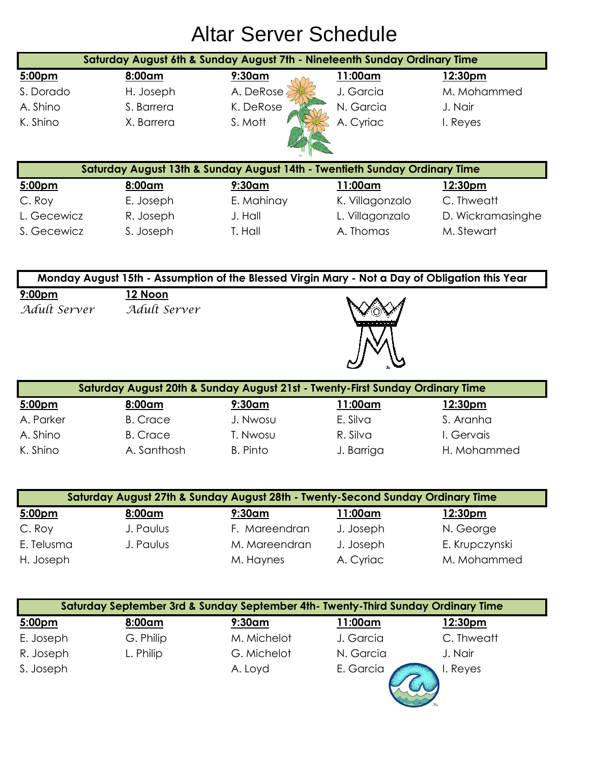|             | Saturday August 6th & Sunday August 7th - Nineteenth Sunday Ordinary Time  |            |                 |                   |
|-------------|----------------------------------------------------------------------------|------------|-----------------|-------------------|
| 5:00pm      | 8:00am                                                                     | $9:30$ am  | 11:00am         | 12:30pm           |
| S. Dorado   | H. Joseph                                                                  | A. DeRose  | J. Garcia       | M. Mohammed       |
| A. Shino    | S. Barrera                                                                 | K. DeRose  | N. Garcia       | J. Nair           |
| K. Shino    | X. Barrera                                                                 | S. Mott    | A. Cyriac       | I. Reyes          |
|             |                                                                            |            |                 |                   |
|             | Saturday August 13th & Sunday August 14th - Twentieth Sunday Ordinary Time |            |                 |                   |
| 5:00pm      | 8:00am                                                                     | $9:30$ am  | 11:00am         | 12:30pm           |
| C. Roy      | E. Joseph                                                                  | E. Mahinay | K. Villagonzalo | C. Thweatt        |
| L. Gecewicz | R. Joseph                                                                  | J. Hall    | L. Villagonzalo | D. Wickramasinghe |
| S. Gecewicz | S. Joseph                                                                  | T. Hall    | A. Thomas       | M. Stewart        |

|                                    | Monday August 15th - Assumption of the Blessed Virgin Mary - Not a Day of Obligation this Year |  |  |  |  |
|------------------------------------|------------------------------------------------------------------------------------------------|--|--|--|--|
| 9:00 <sub>pm</sub><br>Adult Server | 12 Noon<br>Adult Server                                                                        |  |  |  |  |
|                                    |                                                                                                |  |  |  |  |

|           | Saturday August 20th & Sunday August 21st - Twenty-First Sunday Ordinary Time |           |            |                |
|-----------|-------------------------------------------------------------------------------|-----------|------------|----------------|
| 5:00pm    | 8:00am                                                                        | $9:30$ am | 11:00am    | <u>12:30pm</u> |
| A. Parker | <b>B.</b> Crace                                                               | J. Nwosu  | E. Silva   | S. Aranha      |
| A. Shino  | <b>B.</b> Crace                                                               | T. Nwosu  | R. Silva   | I. Gervais     |
| K. Shino  | A. Santhosh                                                                   | B. Pinto  | J. Barriga | H. Mohammed    |

|            | Saturday August 27th & Sunday August 28th - Twenty-Second Sunday Ordinary Time |               |           |                |
|------------|--------------------------------------------------------------------------------|---------------|-----------|----------------|
| 5:00pm     | 8:00am                                                                         | $9:30$ am     | 11:00am   | <u>12:30pm</u> |
| C. Roy     | J. Paulus                                                                      | F. Mareendran | J. Joseph | N. George      |
| E. Telusma | J. Paulus                                                                      | M. Mareendran | J. Joseph | E. Krupczynski |
| H. Joseph  |                                                                                | M. Haynes     | A. Cyriac | M. Mohammed    |

|           |           | Saturday September 3rd & Sunday September 4th- Twenty-Third Sunday Ordinary Time |                 |                |
|-----------|-----------|----------------------------------------------------------------------------------|-----------------|----------------|
| 5:00pm    | 8:00am    | $9:30$ am                                                                        | <u> 11:00am</u> | <u>12:30pm</u> |
| E. Joseph | G. Philip | M. Michelot                                                                      | J. Garcia       | C. Thweatt     |
| R. Joseph | L. Philip | G. Michelot                                                                      | N. Garcia       | J. Nair        |
| S. Joseph |           | A. Loyd                                                                          | E. Garcia       | I. Reyes       |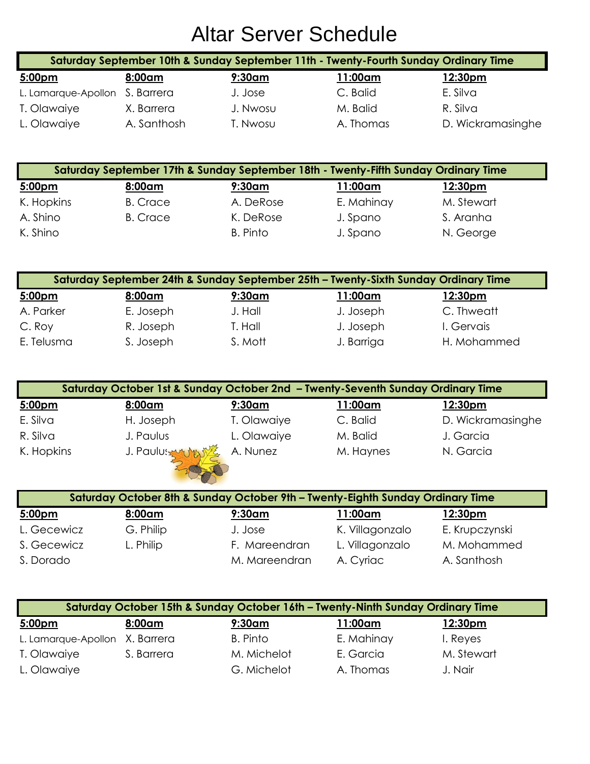| Saturday September 10th & Sunday September 11th - Twenty-Fourth Sunday Ordinary Time |             |          |           |                   |  |
|--------------------------------------------------------------------------------------|-------------|----------|-----------|-------------------|--|
| 5:00pm                                                                               | 8:00am      | 9:30am   | 11:00am   | <u>12:30pm</u>    |  |
| L. Lamarque-Apollon S. Barrera                                                       |             | J. Jose  | C. Balid  | E. Silva          |  |
| T. Olawaiye                                                                          | X. Barrera  | J. Nwosu | M. Balid  | R. Silva          |  |
| L. Olawaiye                                                                          | A. Santhosh | T. Nwosu | A. Thomas | D. Wickramasinghe |  |

|            |                 | Saturday September 17th & Sunday September 18th - Twenty-Fifth Sunday Ordinary Time |            |                     |
|------------|-----------------|-------------------------------------------------------------------------------------|------------|---------------------|
| 5:00pm     | 8:00am          | $9:30$ am                                                                           | 11:00am    | 12:30 <sub>pm</sub> |
| K. Hopkins | <b>B.</b> Crace | A. DeRose                                                                           | E. Mahinay | M. Stewart          |
| A. Shino   | <b>B.</b> Crace | K. DeRose                                                                           | J. Spano   | S. Aranha           |
| K. Shino   |                 | B. Pinto                                                                            | J. Spano   | N. George           |

|                    |           |           | Saturday September 24th & Sunday September 25th - Twenty-Sixth Sunday Ordinary Time |             |
|--------------------|-----------|-----------|-------------------------------------------------------------------------------------|-------------|
| 5:00 <sub>pm</sub> | 8:00am    | $9:30$ am | 11:00am                                                                             | 12:30pm     |
| A. Parker          | E. Joseph | J. Hall   | J. Joseph                                                                           | C. Thweatt  |
| C. Roy             | R. Joseph | T. Hall   | J. Joseph                                                                           | I. Gervais  |
| E. Telusma         | S. Joseph | S. Mott   | J. Barriga                                                                          | H. Mohammed |

|            | Saturday October 1st & Sunday October 2nd - Twenty-Seventh Sunday Ordinary Time |             |           |                   |
|------------|---------------------------------------------------------------------------------|-------------|-----------|-------------------|
| 5:00pm     | 8:00am                                                                          | $9:30$ am   | 11:00am   | 12:30pm           |
| E. Silva   | H. Joseph                                                                       | T. Olawaiye | C. Balid  | D. Wickramasinghe |
| R. Silva   | J. Paulus                                                                       | L. Olawaiye | M. Balid  | J. Garcia         |
| K. Hopkins | J. Paulus wurden                                                                | A. Nunez    | M. Haynes | N. Garcia         |

|             | Saturday October 8th & Sunday October 9th - Twenty-Eighth Sunday Ordinary Time |               |                 |                |
|-------------|--------------------------------------------------------------------------------|---------------|-----------------|----------------|
| 5:00pm      | 8:00am                                                                         | $9:30$ am     | l 1:00am        | <u>12:30pm</u> |
| L. Gecewicz | G. Philip                                                                      | J. Jose       | K. Villagonzalo | E. Krupczynski |
| S. Gecewicz | L. Philip                                                                      | F. Mareendran | L. Villagonzalo | M. Mohammed    |
| S. Dorado   |                                                                                | M. Mareendran | A. Cyriac       | A. Santhosh    |

**CONTROLLER** 

| Saturday October 15th & Sunday October 16th - Twenty-Ninth Sunday Ordinary Time |            |             |                 |                |  |
|---------------------------------------------------------------------------------|------------|-------------|-----------------|----------------|--|
| 5:00pm                                                                          | 8:00am     | $9:30$ am   | <u> 11:00am</u> | <u>12:30pm</u> |  |
| L. Lamarque-Apollon X. Barrera                                                  |            | B. Pinto    | E. Mahinay      | I. Reyes       |  |
| T. Olawaiye                                                                     | S. Barrera | M. Michelot | E. Garcia       | M. Stewart     |  |
| L. Olawaiye                                                                     |            | G. Michelot | A. Thomas       | J. Nair        |  |